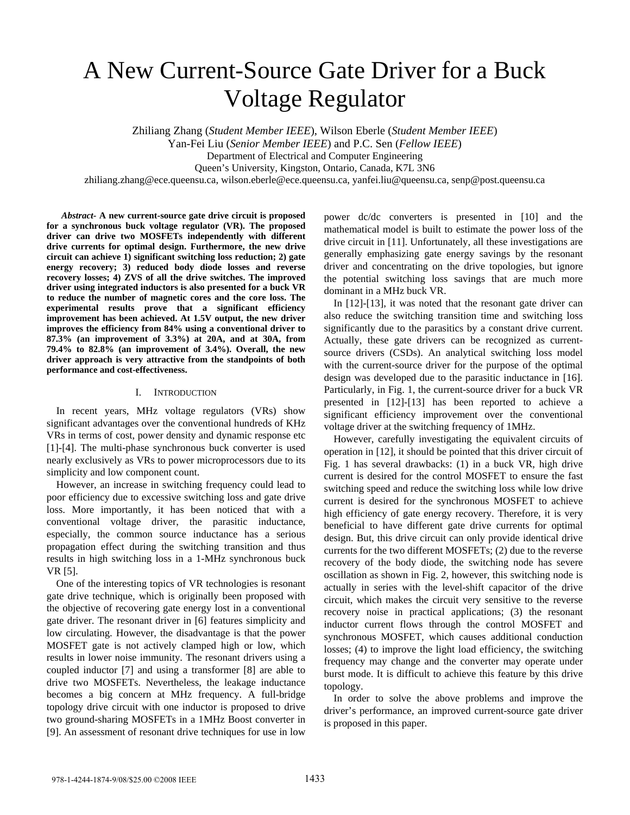# A New Current-Source Gate Driver for a Buck Voltage Regulator

Zhiliang Zhang (*Student Member IEEE*), Wilson Eberle (*Student Member IEEE*)

Yan-Fei Liu (*Senior Member IEEE*) and P.C. Sen (*Fellow IEEE*)

Department of Electrical and Computer Engineering

Queen's University, Kingston, Ontario, Canada, K7L 3N6

zhiliang.zhang@ece.queensu.ca, wilson.eberle@ece.queensu.ca, yanfei.liu@queensu.ca, senp@post.queensu.ca

*Abstract-* **A new current-source gate drive circuit is proposed for a synchronous buck voltage regulator (VR). The proposed driver can drive two MOSFETs independently with different drive currents for optimal design. Furthermore, the new drive circuit can achieve 1) significant switching loss reduction; 2) gate energy recovery; 3) reduced body diode losses and reverse recovery losses; 4) ZVS of all the drive switches. The improved driver using integrated inductors is also presented for a buck VR to reduce the number of magnetic cores and the core loss. The experimental results prove that a significant efficiency improvement has been achieved. At 1.5V output, the new driver improves the efficiency from 84% using a conventional driver to 87.3% (an improvement of 3.3%) at 20A, and at 30A, from 79.4% to 82.8% (an improvement of 3.4%). Overall, the new driver approach is very attractive from the standpoints of both performance and cost-effectiveness.** 

#### I. INTRODUCTION

In recent years, MHz voltage regulators (VRs) show significant advantages over the conventional hundreds of KHz VRs in terms of cost, power density and dynamic response etc [1]-[4]. The multi-phase synchronous buck converter is used nearly exclusively as VRs to power microprocessors due to its simplicity and low component count.

However, an increase in switching frequency could lead to poor efficiency due to excessive switching loss and gate drive loss. More importantly, it has been noticed that with a conventional voltage driver, the parasitic inductance, especially, the common source inductance has a serious propagation effect during the switching transition and thus results in high switching loss in a 1-MHz synchronous buck VR [5].

One of the interesting topics of VR technologies is resonant gate drive technique, which is originally been proposed with the objective of recovering gate energy lost in a conventional gate driver. The resonant driver in [6] features simplicity and low circulating. However, the disadvantage is that the power MOSFET gate is not actively clamped high or low, which results in lower noise immunity. The resonant drivers using a coupled inductor [7] and using a transformer [8] are able to drive two MOSFETs. Nevertheless, the leakage inductance becomes a big concern at MHz frequency. A full-bridge topology drive circuit with one inductor is proposed to drive two ground-sharing MOSFETs in a 1MHz Boost converter in [9]. An assessment of resonant drive techniques for use in low

power dc/dc converters is presented in [10] and the mathematical model is built to estimate the power loss of the drive circuit in [11]. Unfortunately, all these investigations are generally emphasizing gate energy savings by the resonant driver and concentrating on the drive topologies, but ignore the potential switching loss savings that are much more dominant in a MHz buck VR.

In [12]-[13], it was noted that the resonant gate driver can also reduce the switching transition time and switching loss significantly due to the parasitics by a constant drive current. Actually, these gate drivers can be recognized as currentsource drivers (CSDs). An analytical switching loss model with the current-source driver for the purpose of the optimal design was developed due to the parasitic inductance in [16]. Particularly, in Fig. 1, the current-source driver for a buck VR presented in [12]-[13] has been reported to achieve a significant efficiency improvement over the conventional voltage driver at the switching frequency of 1MHz.

However, carefully investigating the equivalent circuits of operation in [12], it should be pointed that this driver circuit of Fig. 1 has several drawbacks: (1) in a buck VR, high drive current is desired for the control MOSFET to ensure the fast switching speed and reduce the switching loss while low drive current is desired for the synchronous MOSFET to achieve high efficiency of gate energy recovery. Therefore, it is very beneficial to have different gate drive currents for optimal design. But, this drive circuit can only provide identical drive currents for the two different MOSFETs; (2) due to the reverse recovery of the body diode, the switching node has severe oscillation as shown in Fig. 2, however, this switching node is actually in series with the level-shift capacitor of the drive circuit, which makes the circuit very sensitive to the reverse recovery noise in practical applications; (3) the resonant inductor current flows through the control MOSFET and synchronous MOSFET, which causes additional conduction losses; (4) to improve the light load efficiency, the switching frequency may change and the converter may operate under burst mode. It is difficult to achieve this feature by this drive topology.

In order to solve the above problems and improve the driver's performance, an improved current-source gate driver is proposed in this paper.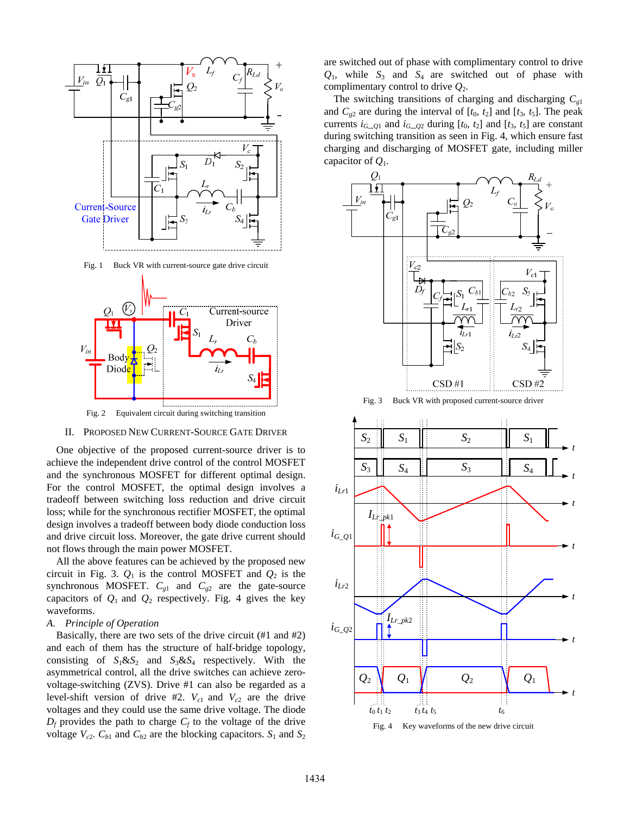

Fig. 1 Buck VR with current-source gate drive circuit



II. PROPOSED NEW CURRENT-SOURCE GATE DRIVER

One objective of the proposed current-source driver is to achieve the independent drive control of the control MOSFET and the synchronous MOSFET for different optimal design. For the control MOSFET, the optimal design involves a tradeoff between switching loss reduction and drive circuit loss; while for the synchronous rectifier MOSFET, the optimal design involves a tradeoff between body diode conduction loss and drive circuit loss. Moreover, the gate drive current should not flows through the main power MOSFET.

All the above features can be achieved by the proposed new circuit in Fig. 3.  $Q_1$  is the control MOSFET and  $Q_2$  is the synchronous MOSFET.  $C_{g1}$  and  $C_{g2}$  are the gate-source capacitors of  $Q_1$  and  $Q_2$  respectively. Fig. 4 gives the key waveforms.

## *A. Principle of Operation*

Basically, there are two sets of the drive circuit (#1 and #2) and each of them has the structure of half-bridge topology, consisting of  $S_1 \& S_2$  and  $S_3 \& S_4$  respectively. With the asymmetrical control, all the drive switches can achieve zerovoltage-switching (ZVS). Drive #1 can also be regarded as a level-shift version of drive #2.  $V_{c1}$  and  $V_{c2}$  are the drive voltages and they could use the same drive voltage. The diode  $D_f$  provides the path to charge  $C_f$  to the voltage of the drive voltage  $V_{c2}$ .  $C_{b1}$  and  $C_{b2}$  are the blocking capacitors.  $S_1$  and  $S_2$  are switched out of phase with complimentary control to drive  $Q_1$ , while  $S_3$  and  $S_4$  are switched out of phase with complimentary control to drive *Q*2.

The switching transitions of charging and discharging *Cg*<sup>1</sup> and  $C_{g2}$  are during the interval of  $[t_0, t_2]$  and  $[t_3, t_5]$ . The peak currents  $i_{G-Q1}$  and  $i_{G-Q2}$  during  $[t_0, t_2]$  and  $[t_3, t_5]$  are constant during switching transition as seen in Fig. 4, which ensure fast charging and discharging of MOSFET gate, including miller capacitor of *Q*1.



Fig. 3 Buck VR with proposed current-source driver



Fig. 4 Key waveforms of the new drive circuit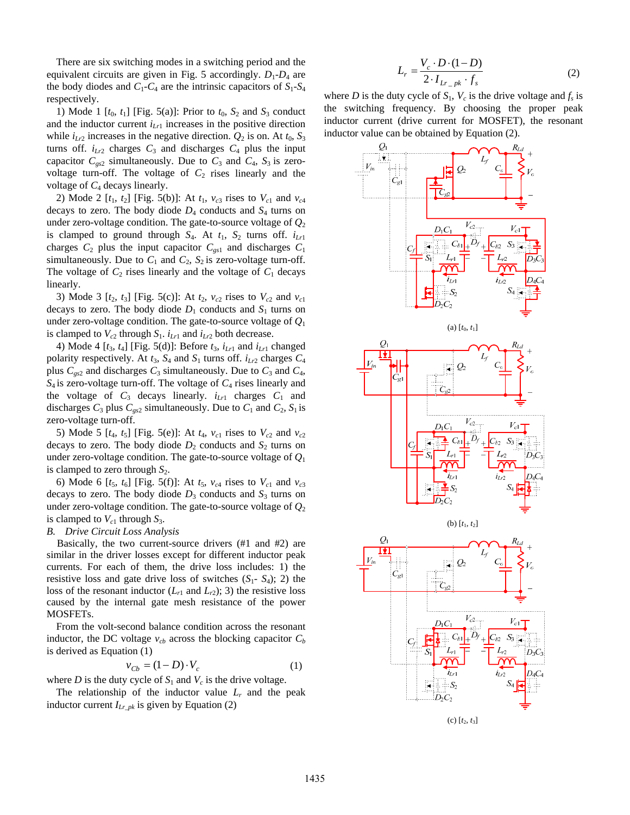There are six switching modes in a switching period and the equivalent circuits are given in Fig. 5 accordingly.  $D_1 - D_4$  are the body diodes and  $C_1$ - $C_4$  are the intrinsic capacitors of  $S_1$ - $S_4$ respectively.

1) Mode 1  $[t_0, t_1]$  [Fig. 5(a)]: Prior to  $t_0$ ,  $S_2$  and  $S_3$  conduct and the inductor current  $i_{Lr1}$  increases in the positive direction while  $i_{Lr2}$  increases in the negative direction.  $Q_2$  is on. At  $t_0$ ,  $S_3$ turns off.  $i_{Lr2}$  charges  $C_3$  and discharges  $C_4$  plus the input capacitor  $C_{gs2}$  simultaneously. Due to  $C_3$  and  $C_4$ ,  $S_3$  is zerovoltage turn-off. The voltage of  $C_2$  rises linearly and the voltage of *C*4 decays linearly.

2) Mode 2  $[t_1, t_2]$  [Fig. 5(b)]: At  $t_1$ ,  $v_{c3}$  rises to  $V_{c1}$  and  $v_{c4}$ decays to zero. The body diode  $D_4$  conducts and  $S_4$  turns on under zero-voltage condition. The gate-to-source voltage of  $Q_2$ is clamped to ground through  $S_4$ . At  $t_1$ ,  $S_2$  turns off.  $i_{Lr1}$ charges  $C_2$  plus the input capacitor  $C_{gs1}$  and discharges  $C_1$ simultaneously. Due to  $C_1$  and  $C_2$ ,  $S_2$  is zero-voltage turn-off. The voltage of  $C_2$  rises linearly and the voltage of  $C_1$  decays linearly.

3) Mode 3  $[t_2, t_3]$  [Fig. 5(c)]: At  $t_2$ ,  $v_{c2}$  rises to  $V_{c2}$  and  $v_{c1}$ decays to zero. The body diode  $D_1$  conducts and  $S_1$  turns on under zero-voltage condition. The gate-to-source voltage of *Q*<sup>1</sup> is clamped to  $V_{c2}$  through  $S_1$ .  $i_{Lr1}$  and  $i_{Lr2}$  both decrease.

4) Mode 4  $[t_3, t_4]$  [Fig. 5(d)]: Before  $t_3$ ,  $i_{L_1}$  and  $i_{L_1}$  changed polarity respectively. At  $t_3$ ,  $S_4$  and  $S_1$  turns off.  $i_{Lr2}$  charges  $C_4$ plus  $C_{gs2}$  and discharges  $C_3$  simultaneously. Due to  $C_3$  and  $C_4$ ,  $S_4$  is zero-voltage turn-off. The voltage of  $C_4$  rises linearly and the voltage of  $C_3$  decays linearly.  $i_{Lr1}$  charges  $C_1$  and discharges  $C_3$  plus  $C_{gs2}$  simultaneously. Due to  $C_1$  and  $C_2$ ,  $S_1$  is zero-voltage turn-off.

5) Mode 5  $[t_4, t_5]$  [Fig. 5(e)]: At  $t_4$ ,  $v_{c1}$  rises to  $V_{c2}$  and  $v_{c2}$ decays to zero. The body diode  $D_2$  conducts and  $S_2$  turns on under zero-voltage condition. The gate-to-source voltage of *Q*<sup>1</sup> is clamped to zero through  $S_2$ .

6) Mode 6  $[t_5, t_6]$  [Fig. 5(f)]: At  $t_5$ ,  $v_{c4}$  rises to  $V_{c1}$  and  $v_{c3}$ decays to zero. The body diode  $D_3$  conducts and  $S_3$  turns on under zero-voltage condition. The gate-to-source voltage of  $Q_2$ is clamped to  $V_{c1}$  through  $S_3$ .

## *B. Drive Circuit Loss Analysis*

Basically, the two current-source drivers (#1 and #2) are similar in the driver losses except for different inductor peak currents. For each of them, the drive loss includes: 1) the resistive loss and gate drive loss of switches  $(S_1 - S_4)$ ; 2) the loss of the resonant inductor  $(L_{r1}$  and  $L_{r2})$ ; 3) the resistive loss caused by the internal gate mesh resistance of the power MOSFETs.

From the volt-second balance condition across the resonant inductor, the DC voltage  $v_{cb}$  across the blocking capacitor  $C_b$ is derived as Equation (1)

$$
v_{Cb} = (1 - D) \cdot V_c \tag{1}
$$

where *D* is the duty cycle of  $S_1$  and  $V_c$  is the drive voltage.

The relationship of the inductor value  $L_r$  and the peak inductor current  $I_{Lrpk}$  is given by Equation (2)

$$
L_r = \frac{V_c \cdot D \cdot (1 - D)}{2 \cdot I_{Lr_{\perp}pk} \cdot f_s}
$$
 (2)

where *D* is the duty cycle of  $S_1$ ,  $V_c$  is the drive voltage and  $f_s$  is the switching frequency. By choosing the proper peak inductor current (drive current for MOSFET), the resonant inductor value can be obtained by Equation (2).

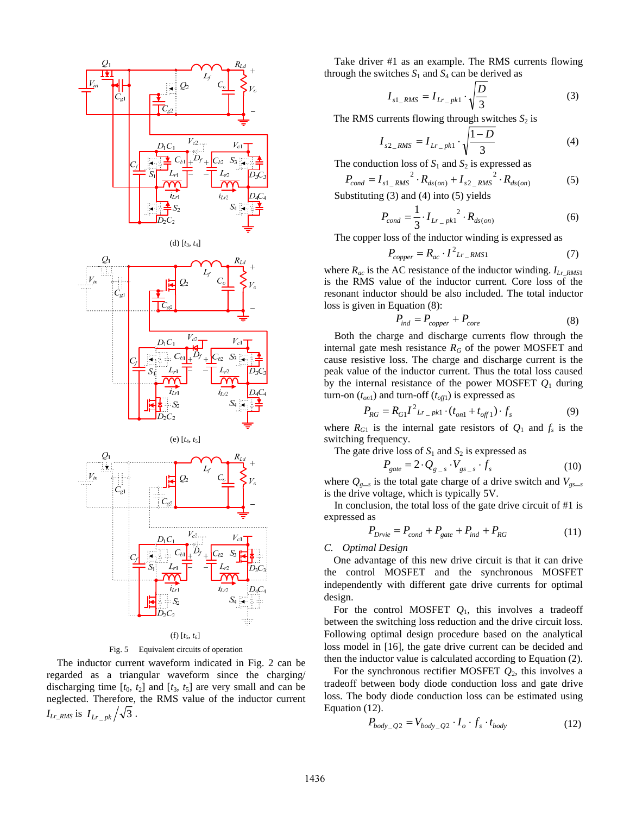

Fig. 5 Equivalent circuits of operation

The inductor current waveform indicated in Fig. 2 can be regarded as a triangular waveform since the charging/ discharging time  $[t_0, t_2]$  and  $[t_3, t_5]$  are very small and can be neglected. Therefore, the RMS value of the inductor current  $I_{Lr\_RMS}$  is  $I_{Lr}$   $_{pk}/\sqrt{3}$ .

Take driver #1 as an example. The RMS currents flowing through the switches  $S_1$  and  $S_4$  can be derived as

$$
I_{s1\_RMS} = I_{Lr\_pk1} \cdot \sqrt{\frac{D}{3}}
$$
 (3)

The RMS currents flowing through switches  $S_2$  is

$$
I_{s2\_RMS} = I_{Lr\_pk1} \cdot \sqrt{\frac{1-D}{3}}
$$
 (4)

The conduction loss of  $S_1$  and  $S_2$  is expressed as

$$
P_{cond} = I_{s1\_RMS}^{2} \cdot R_{ds,on} + I_{s2\_RMS}^{2} \cdot R_{ds,on}
$$
 (5)

Substituting  $(3)$  and  $(4)$  into  $(5)$  yields

$$
P_{cond} = \frac{1}{3} \cdot I_{Lr_{pkl}}^2 \cdot R_{ds (on)}
$$
 (6)

The copper loss of the inductor winding is expressed as

$$
P_{copper} = R_{ac} \cdot I^2_{Lr\_RMS1}
$$
 (7)

where  $R_{ac}$  is the AC resistance of the inductor winding.  $I_{Lr_RMS1}$ is the RMS value of the inductor current. Core loss of the resonant inductor should be also included. The total inductor loss is given in Equation (8):

$$
P_{ind} = P_{copper} + P_{core}
$$
 (8)

Both the charge and discharge currents flow through the internal gate mesh resistance  $R_G$  of the power MOSFET and cause resistive loss. The charge and discharge current is the peak value of the inductor current. Thus the total loss caused by the internal resistance of the power MOSFET *Q*1 during turn-on  $(t_{on1})$  and turn-off  $(t_{off1})$  is expressed as

$$
P_{RG} = R_{GI} I^2 L_{r} P_{kl} \cdot (t_{on1} + t_{off1}) \cdot f_s \tag{9}
$$

where  $R_{G1}$  is the internal gate resistors of  $Q_1$  and  $f_s$  is the switching frequency.

The gate drive loss of  $S_1$  and  $S_2$  is expressed as

$$
P_{gate} = 2 \cdot Q_{g_s} \cdot V_{gs_s} \cdot f_s \tag{10}
$$

where  $Q_{g}$ <sub>s</sub> is the total gate charge of a drive switch and  $V_{gs}$ <sub>ss</sub> is the drive voltage, which is typically 5V.

In conclusion, the total loss of the gate drive circuit of #1 is expressed as

$$
P_{Drvie} = P_{cond} + P_{gate} + P_{ind} + P_{RG}
$$
\n<sup>(11)</sup>

## *C. Optimal Design*

One advantage of this new drive circuit is that it can drive the control MOSFET and the synchronous MOSFET independently with different gate drive currents for optimal design.

For the control MOSFET  $Q_1$ , this involves a tradeoff between the switching loss reduction and the drive circuit loss. Following optimal design procedure based on the analytical loss model in [16], the gate drive current can be decided and then the inductor value is calculated according to Equation (2).

For the synchronous rectifier MOSFET *Q*2, this involves a tradeoff between body diode conduction loss and gate drive loss. The body diode conduction loss can be estimated using Equation (12).

$$
P_{body\_Q2} = V_{body\_Q2} \cdot I_o \cdot f_s \cdot t_{body}
$$
 (12)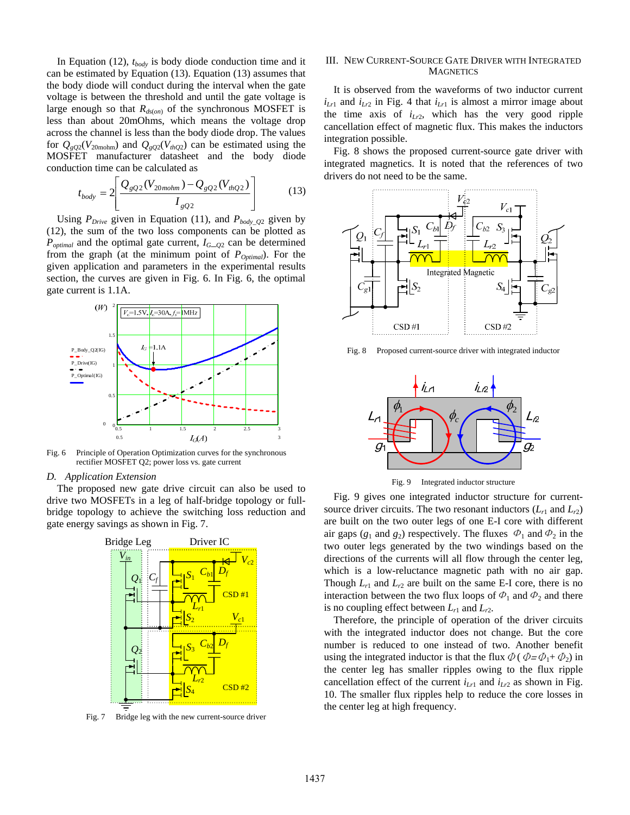In Equation (12), *tbody* is body diode conduction time and it can be estimated by Equation (13). Equation (13) assumes that the body diode will conduct during the interval when the gate voltage is between the threshold and until the gate voltage is large enough so that  $R_{ds(on)}$  of the synchronous MOSFET is less than about 20mOhms, which means the voltage drop across the channel is less than the body diode drop. The values for  $Q_{gQ2}(V_{20\text{molm}})$  and  $Q_{gQ2}(V_{thQ2})$  can be estimated using the MOSFET manufacturer datasheet and the body diode conduction time can be calculated as

$$
t_{body} = 2 \left[ \frac{Q_{gQ2}(V_{20molm}) - Q_{gQ2}(V_{thQ2})}{I_{gQ2}} \right]
$$
 (13)

Using  $P_{\text{Drive}}$  given in Equation (11), and  $P_{\text{body\_Q2}}$  given by (12), the sum of the two loss components can be plotted as  $P_{optimal}$  and the optimal gate current,  $I_{G_2Q_2}$  can be determined from the graph (at the minimum point of  $P_{Optimal}$ ). For the given application and parameters in the experimental results section, the curves are given in Fig. 6. In Fig. 6, the optimal gate current is 1.1A.



Fig. 6 Principle of Operation Optimization curves for the synchronous rectifier MOSFET Q2; power loss vs. gate current

#### *D. Application Extension*

The proposed new gate drive circuit can also be used to drive two MOSFETs in a leg of half-bridge topology or fullbridge topology to achieve the switching loss reduction and gate energy savings as shown in Fig. 7.



Fig. 7 Bridge leg with the new current-source driver

## III. NEW CURRENT-SOURCE GATE DRIVER WITH INTEGRATED **MAGNETICS**

It is observed from the waveforms of two inductor current  $i_{Lr1}$  and  $i_{Lr2}$  in Fig. 4 that  $i_{Lr1}$  is almost a mirror image about the time axis of  $i_{Lr2}$ , which has the very good ripple cancellation effect of magnetic flux. This makes the inductors integration possible.

Fig. 8 shows the proposed current-source gate driver with integrated magnetics. It is noted that the references of two drivers do not need to be the same.



Fig. 8 Proposed current-source driver with integrated inductor



Fig. 9 Integrated inductor structure

Fig. 9 gives one integrated inductor structure for currentsource driver circuits. The two resonant inductors  $(L_{r1}$  and  $L_{r2})$ are built on the two outer legs of one E-I core with different air gaps ( $g_1$  and  $g_2$ ) respectively. The fluxes  $\Phi_1$  and  $\Phi_2$  in the two outer legs generated by the two windings based on the directions of the currents will all flow through the center leg, which is a low-reluctance magnetic path with no air gap. Though  $L_{r1}$  and  $L_{r2}$  are built on the same E-I core, there is no interaction between the two flux loops of  $\Phi_1$  and  $\Phi_2$  and there is no coupling effect between  $L_{r1}$  and  $L_{r2}$ .

Therefore, the principle of operation of the driver circuits with the integrated inductor does not change. But the core number is reduced to one instead of two. Another benefit using the integrated inductor is that the flux  $\Phi$  ( $\Phi = \Phi_1 + \Phi_2$ ) in the center leg has smaller ripples owing to the flux ripple cancellation effect of the current  $i_{Lr1}$  and  $i_{Lr2}$  as shown in Fig. 10. The smaller flux ripples help to reduce the core losses in the center leg at high frequency.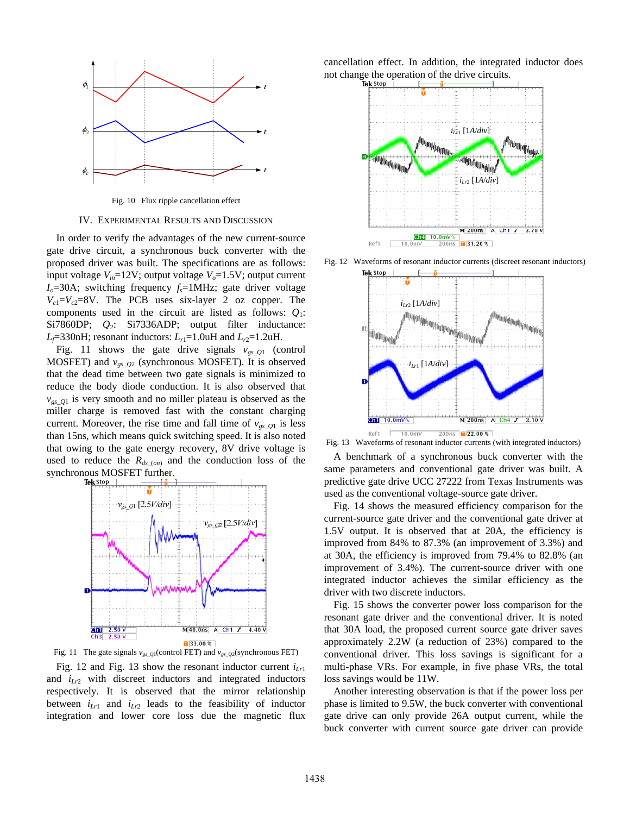

Fig. 10 Flux ripple cancellation effect

### IV. EXPERIMENTAL RESULTS AND DISCUSSION

In order to verify the advantages of the new current-source gate drive circuit, a synchronous buck converter with the proposed driver was built. The specifications are as follows: input voltage  $V_{in}$ =12V; output voltage  $V_o$ =1.5V; output current *Io*=30A; switching frequency *fs*=1MHz; gate driver voltage  $V_{c1} = V_{c2} = 8V$ . The PCB uses six-layer 2 oz copper. The components used in the circuit are listed as follows:  $Q_1$ : Si7860DP; *Q*2: Si7336ADP; output filter inductance:  $L_f$ =330nH; resonant inductors:  $L_{r1}$ =1.0uH and  $L_{r2}$ =1.2uH.

Fig. 11 shows the gate drive signals  $v_{gs\_Q1}$  (control MOSFET) and  $v_{gs_2Q2}$  (synchronous MOSFET). It is observed that the dead time between two gate signals is minimized to reduce the body diode conduction. It is also observed that  $v_{gs}$ <sub>Q1</sub> is very smooth and no miller plateau is observed as the miller charge is removed fast with the constant charging current. Moreover, the rise time and fall time of  $v_{gs}$   $_{Q1}$  is less than 15ns, which means quick switching speed. It is also noted that owing to the gate energy recovery, 8V drive voltage is used to reduce the  $R_{ds_{(on)}}$  and the conduction loss of the synchronous MOSFET further.<br>Tekstop |  $-$  |  $\ddot{o}$ 



Fig. 11 The gate signals  $v_{gs\_Q1}$ (control FET) and  $v_{gs\_Q2}$ (synchronous FET)

Fig. 12 and Fig. 13 show the resonant inductor current  $i_{Lr1}$ and *iLr*2 with discreet inductors and integrated inductors respectively. It is observed that the mirror relationship between  $i_{Lr1}$  and  $i_{Lr2}$  leads to the feasibility of inductor integration and lower core loss due the magnetic flux cancellation effect. In addition, the integrated inductor does not change the operation of the drive circuits.



Fig. 12 Waveforms of resonant inductor currents (discreet resonant inductors)



Fig. 13 Waveforms of resonant inductor currents (with integrated inductors)

A benchmark of a synchronous buck converter with the same parameters and conventional gate driver was built. A predictive gate drive UCC 27222 from Texas Instruments was used as the conventional voltage-source gate driver.

Fig. 14 shows the measured efficiency comparison for the current-source gate driver and the conventional gate driver at 1.5V output. It is observed that at 20A, the efficiency is improved from 84% to 87.3% (an improvement of 3.3%) and at 30A, the efficiency is improved from 79.4% to 82.8% (an improvement of 3.4%). The current-source driver with one integrated inductor achieves the similar efficiency as the driver with two discrete inductors.

Fig. 15 shows the converter power loss comparison for the resonant gate driver and the conventional driver. It is noted that 30A load, the proposed current source gate driver saves approximately 2.2W (a reduction of 23%) compared to the conventional driver. This loss savings is significant for a multi-phase VRs. For example, in five phase VRs, the total loss savings would be 11W.

Another interesting observation is that if the power loss per phase is limited to 9.5W, the buck converter with conventional gate drive can only provide 26A output current, while the buck converter with current source gate driver can provide